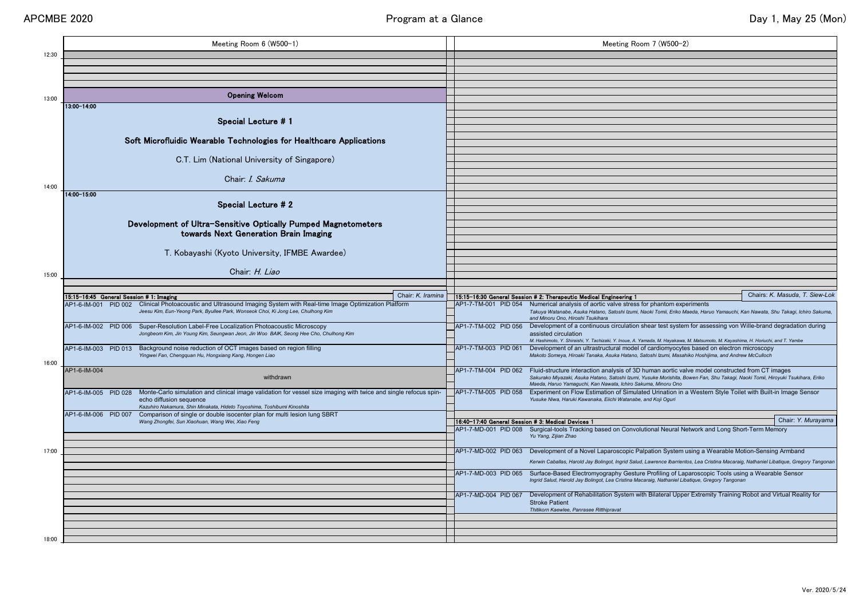|       | Meeting Room 6 (W500-1)                                                                                                                                                       |                                                    | Meeting Room 7 (W500-2)                                                                                                                                                                                                           |
|-------|-------------------------------------------------------------------------------------------------------------------------------------------------------------------------------|----------------------------------------------------|-----------------------------------------------------------------------------------------------------------------------------------------------------------------------------------------------------------------------------------|
| 12:30 |                                                                                                                                                                               |                                                    |                                                                                                                                                                                                                                   |
|       |                                                                                                                                                                               |                                                    |                                                                                                                                                                                                                                   |
|       |                                                                                                                                                                               |                                                    |                                                                                                                                                                                                                                   |
|       |                                                                                                                                                                               |                                                    |                                                                                                                                                                                                                                   |
| 13:00 | <b>Opening Welcom</b>                                                                                                                                                         |                                                    |                                                                                                                                                                                                                                   |
|       | 13:00-14:00                                                                                                                                                                   |                                                    |                                                                                                                                                                                                                                   |
|       | Special Lecture # 1                                                                                                                                                           |                                                    |                                                                                                                                                                                                                                   |
|       |                                                                                                                                                                               |                                                    |                                                                                                                                                                                                                                   |
|       | Soft Microfluidic Wearable Technologies for Healthcare Applications                                                                                                           |                                                    |                                                                                                                                                                                                                                   |
|       |                                                                                                                                                                               |                                                    |                                                                                                                                                                                                                                   |
|       | C.T. Lim (National University of Singapore)                                                                                                                                   |                                                    |                                                                                                                                                                                                                                   |
|       |                                                                                                                                                                               |                                                    |                                                                                                                                                                                                                                   |
|       | Chair: <i>I. Sakuma</i>                                                                                                                                                       |                                                    |                                                                                                                                                                                                                                   |
| 14:00 | $14:00 - 15:00$                                                                                                                                                               |                                                    |                                                                                                                                                                                                                                   |
|       |                                                                                                                                                                               |                                                    |                                                                                                                                                                                                                                   |
|       | <b>Special Lecture #2</b>                                                                                                                                                     |                                                    |                                                                                                                                                                                                                                   |
|       | Development of Ultra-Sensitive Optically Pumped Magnetometers                                                                                                                 |                                                    |                                                                                                                                                                                                                                   |
|       | towards Next Generation Brain Imaging                                                                                                                                         |                                                    |                                                                                                                                                                                                                                   |
|       |                                                                                                                                                                               |                                                    |                                                                                                                                                                                                                                   |
|       | T. Kobayashi (Kyoto University, IFMBE Awardee)                                                                                                                                |                                                    |                                                                                                                                                                                                                                   |
|       |                                                                                                                                                                               |                                                    |                                                                                                                                                                                                                                   |
| 15:00 | Chair: H. Liao                                                                                                                                                                |                                                    |                                                                                                                                                                                                                                   |
|       |                                                                                                                                                                               |                                                    |                                                                                                                                                                                                                                   |
|       | Chair: K. Iramina                                                                                                                                                             |                                                    | Chairs: K. Masuda, T. Siew-                                                                                                                                                                                                       |
|       | $15:15-16:45$ General Session # 1: Imaging<br>PID 002 Clinical Photoacoustic and Ultrasound Imaging System with Real-time Image Optimization Platform<br>AP1-6-IM-001         |                                                    | 15:15-16:30 General Session # 2: Therapeutic Medical Engineering 1<br>AP1-7-TM-001 PID 054 Numerical analysis of aortic valve stress for phantom experiments                                                                      |
|       | Jeesu Kim, Eun-Yeong Park, Byullee Park, Wonseok Choi, Ki Jong Lee, Chulhong Kim                                                                                              |                                                    | Takuya Watanabe, Asuka Hatano, Satoshi Izumi, Naoki Tomii, Eriko Maeda, Haruo Yamauchi, Kan Nawata, Shu Takagi, Ichiro Saku                                                                                                       |
|       | AP1-6-IM-002 PID 006 Super-Resolution Label-Free Localization Photoacoustic Microscopy                                                                                        | AP1-7-TM-002 PID 056                               | and Minoru Ono, Hiroshi Tsukihara<br>Development of a continuous circulation shear test system for assessing von Wille-brand degradation during                                                                                   |
|       | Jongbeom Kim, Jin Young Kim, Seungwan Jeon, Jin Woo BAIK, Seong Hee Cho, Chulhong Kim                                                                                         |                                                    | assisted circulation                                                                                                                                                                                                              |
|       | Background noise reduction of OCT images based on region filling<br>AP1-6-IM-003<br><b>PID 013</b>                                                                            | AP1-7-TM-003 PID 061                               | M. Hashimoto, Y. Shiraishi, Y. Tachizaki, Y. Inoue, A. Yamada, M. Hayakawa, M. Matsumoto, M. Kayashima, H. Horiuchi, and T. Yambe<br>Development of an ultrastructural model of cardiomyocytes based on electron microscopy       |
|       | Yingwei Fan, Chengquan Hu, Hongxiang Kang, Hongen Liao                                                                                                                        |                                                    | Makoto Someya, Hiroaki Tanaka, Asuka Hatano, Satoshi Izumi, Masahiko Hoshijima, and Andrew McCulloch                                                                                                                              |
| 16:00 |                                                                                                                                                                               |                                                    |                                                                                                                                                                                                                                   |
|       | AP1-6-IM-004<br>withdrawn                                                                                                                                                     | AP1-7-TM-004 PID 062                               | Fluid-structure interaction analysis of 3D human aortic valve model constructed from CT images<br>Sakurako Miyazaki, Asuka Hatano, Satoshi Izumi, Yusuke Morishita, Bowen Fan, Shu Takagi, Naoki Tomii, Hiroyuki Tsukihara, Eriko |
|       |                                                                                                                                                                               |                                                    | Maeda, Haruo Yamaguchi, Kan Nawata, Ichiro Sakuma, Minoru Ono                                                                                                                                                                     |
|       | Monte-Carlo simulation and clinical image validation for vessel size imaging with twice and single refocus spin-<br>AP1-6-IM-005<br><b>PID 028</b><br>echo diffusion sequence | AP1-7-TM-005 PID 058                               | Experiment on Flow Estimation of Simulated Urination in a Western Style Toilet with Built-in Image Sensor<br>Yusuke Niwa, Haruki Kawanaka, Eiichi Watanabe, and Koji Oguri                                                        |
|       | Kazuhiro Nakamura, Shin Minakata, Hideto Toyoshima, Toshibumi Kinoshita                                                                                                       |                                                    |                                                                                                                                                                                                                                   |
|       | <b>PID 007</b><br>AP1-6-IM-006<br>Comparison of single or double isocenter plan for multi lesion lung SBRT                                                                    |                                                    | Chair: Y. Muraya                                                                                                                                                                                                                  |
|       | Wang Zhongfei, Sun Xiaohuan, Wang Wei, Xiao Feng                                                                                                                              | 16:40-17:40 General Session # 3: Medical Devices 1 | AP1-7-MD-001 PID 008 Surgical-tools Tracking based on Convolutional Neural Network and Long Short-Term Memory                                                                                                                     |
|       |                                                                                                                                                                               |                                                    | Yu Yang, Zijian Zhao                                                                                                                                                                                                              |
| 17:00 |                                                                                                                                                                               | AP1-7-MD-002 PID 063                               | Development of a Novel Laparoscopic Palpation System using a Wearable Motion-Sensing Armband                                                                                                                                      |
|       |                                                                                                                                                                               |                                                    | Kerwin Caballas, Harold Jay Bolingot, Ingrid Salud, Lawrence Ibarrientos, Lea Cristina Macaraig, Nathaniel Libatique, Gregory Tango                                                                                               |
|       |                                                                                                                                                                               |                                                    |                                                                                                                                                                                                                                   |
|       |                                                                                                                                                                               | AP1-7-MD-003 PID 065                               | Surface-Based Electromyography Gesture Profiling of Laparoscopic Tools using a Wearable Sensor<br>Ingrid Salud, Harold Jay Bolingot, Lea Cristina Macaraig, Nathaniel Libatique, Gregory Tangonan                                 |
|       |                                                                                                                                                                               |                                                    |                                                                                                                                                                                                                                   |
|       |                                                                                                                                                                               | AP1-7-MD-004 PID 067                               | Development of Rehabilitation System with Bilateral Upper Extremity Training Robot and Virtual Reality for<br><b>Stroke Patient</b>                                                                                               |
|       |                                                                                                                                                                               |                                                    | Thitikorn Kaewlee, Panrasee Ritthipravat                                                                                                                                                                                          |
|       |                                                                                                                                                                               |                                                    |                                                                                                                                                                                                                                   |
|       |                                                                                                                                                                               |                                                    |                                                                                                                                                                                                                                   |
| 18:00 |                                                                                                                                                                               |                                                    |                                                                                                                                                                                                                                   |
|       |                                                                                                                                                                               |                                                    |                                                                                                                                                                                                                                   |

|                           |                      | Meeting Room 7 (W500-2)                                                                                                                                                                                                                                                                            |                                |
|---------------------------|----------------------|----------------------------------------------------------------------------------------------------------------------------------------------------------------------------------------------------------------------------------------------------------------------------------------------------|--------------------------------|
|                           |                      |                                                                                                                                                                                                                                                                                                    |                                |
|                           |                      |                                                                                                                                                                                                                                                                                                    |                                |
|                           |                      |                                                                                                                                                                                                                                                                                                    |                                |
|                           |                      |                                                                                                                                                                                                                                                                                                    |                                |
|                           |                      |                                                                                                                                                                                                                                                                                                    |                                |
|                           |                      |                                                                                                                                                                                                                                                                                                    |                                |
|                           |                      |                                                                                                                                                                                                                                                                                                    |                                |
|                           |                      |                                                                                                                                                                                                                                                                                                    |                                |
|                           |                      |                                                                                                                                                                                                                                                                                                    |                                |
|                           |                      |                                                                                                                                                                                                                                                                                                    |                                |
|                           |                      |                                                                                                                                                                                                                                                                                                    |                                |
|                           |                      |                                                                                                                                                                                                                                                                                                    |                                |
|                           |                      |                                                                                                                                                                                                                                                                                                    |                                |
|                           |                      |                                                                                                                                                                                                                                                                                                    |                                |
|                           |                      |                                                                                                                                                                                                                                                                                                    |                                |
|                           |                      |                                                                                                                                                                                                                                                                                                    |                                |
|                           |                      |                                                                                                                                                                                                                                                                                                    |                                |
|                           |                      |                                                                                                                                                                                                                                                                                                    |                                |
|                           |                      |                                                                                                                                                                                                                                                                                                    |                                |
|                           |                      |                                                                                                                                                                                                                                                                                                    |                                |
|                           |                      |                                                                                                                                                                                                                                                                                                    |                                |
|                           |                      |                                                                                                                                                                                                                                                                                                    |                                |
|                           |                      |                                                                                                                                                                                                                                                                                                    |                                |
|                           |                      |                                                                                                                                                                                                                                                                                                    |                                |
|                           |                      | 15:15-16:30 General Session # 2: Therapeutic Medical Engineering 1                                                                                                                                                                                                                                 | Chairs: K. Masuda, T. Siew-Lok |
|                           | AP1-7-TM-001 PID 054 | Numerical analysis of aortic valve stress for phantom experiments<br>Takuya Watanabe, Asuka Hatano, Satoshi Izumi, Naoki Tomii, Eriko Maeda, Haruo Yamauchi, Kan Nawata, Shu Takagi, Ichiro Sakuma,<br>and Minoru Ono, Hiroshi Tsukihara                                                           |                                |
|                           | AP1-7-TM-002 PID 056 | Development of a continuous circulation shear test system for assessing von Wille-brand degradation during<br>assisted circulation                                                                                                                                                                 |                                |
|                           |                      | M. Hashimoto, Y. Shiraishi, Y. Tachizaki, Y. Inoue, A. Yamada, M. Hayakawa, M. Matsumoto, M. Kayashima, H. Horiuchi, and T. Yambe                                                                                                                                                                  |                                |
|                           | AP1-7-TM-003 PID 061 | Development of an ultrastructural model of cardiomyocytes based on electron microscopy<br>Makoto Someya, Hiroaki Tanaka, Asuka Hatano, Satoshi Izumi, Masahiko Hoshijima, and Andrew McCulloch                                                                                                     |                                |
| Chair: K. Iramina<br>form | AP1-7-TM-004 PID 062 | Fluid-structure interaction analysis of 3D human aortic valve model constructed from CT images<br>Sakurako Miyazaki, Asuka Hatano, Satoshi Izumi, Yusuke Morishita, Bowen Fan, Shu Takagi, Naoki Tomii, Hiroyuki Tsukihara, Eriko<br>Maeda, Haruo Yamaguchi, Kan Nawata, Ichiro Sakuma, Minoru Ono |                                |
| de refocus spin-          | AP1-7-TM-005 PID 058 | Experiment on Flow Estimation of Simulated Urination in a Western Style Toilet with Built-in Image Sensor<br>Yusuke Niwa, Haruki Kawanaka, Eiichi Watanabe, and Koji Oguri                                                                                                                         |                                |
|                           |                      |                                                                                                                                                                                                                                                                                                    |                                |
|                           |                      | 16:40-17:40 General Session # 3: Medical Devices 1<br>AP1-7-MD-001 PID 008 Surgical-tools Tracking based on Convolutional Neural Network and Long Short-Term Memory<br>Yu Yang, Zijian Zhao                                                                                                        | Chair: Y. Murayama             |
|                           |                      |                                                                                                                                                                                                                                                                                                    |                                |
|                           | AP1-7-MD-002 PID 063 | Development of a Novel Laparoscopic Palpation System using a Wearable Motion-Sensing Armband<br>Kerwin Caballas, Harold Jay Bolingot, Ingrid Salud, Lawrence Ibarrientos, Lea Cristina Macaraig, Nathaniel Libatique, Gregory Tangonan                                                             |                                |
|                           | AP1-7-MD-003 PID 065 | Surface-Based Electromyography Gesture Profiling of Laparoscopic Tools using a Wearable Sensor<br>Ingrid Salud, Harold Jay Bolingot, Lea Cristina Macaraig, Nathaniel Libatique, Gregory Tangonan                                                                                                  |                                |
|                           | AP1-7-MD-004 PID 067 | Development of Rehabilitation System with Bilateral Upper Extremity Training Robot and Virtual Reality for<br><b>Stroke Patient</b>                                                                                                                                                                |                                |
|                           |                      | Thitikorn Kaewlee, Panrasee Ritthipravat                                                                                                                                                                                                                                                           |                                |
|                           |                      |                                                                                                                                                                                                                                                                                                    |                                |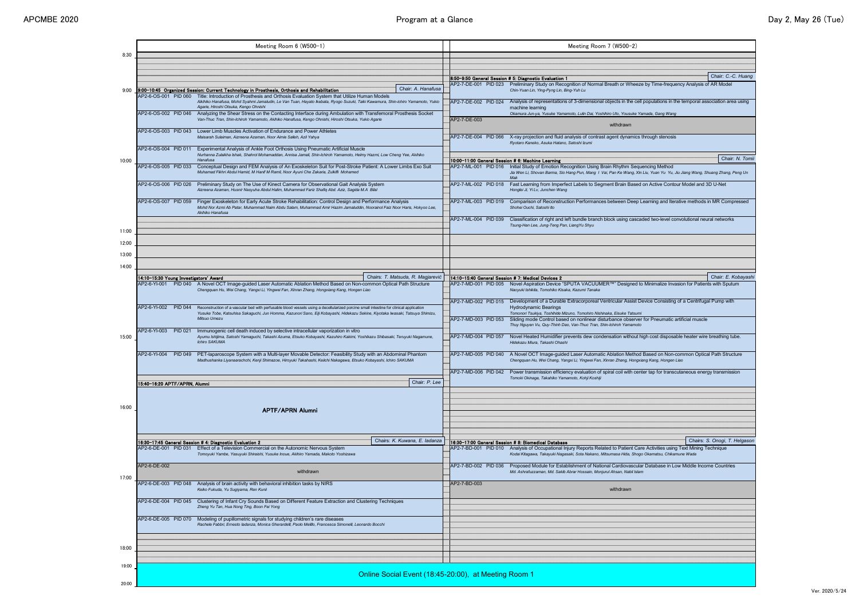Ver. 2020/5/24

| 8:30  |                                        | Meeting Room 6 (W500-1)                                                                                                                                                                                                                                                                   |                                                      |                                                                                          | <b>Meeting Rod</b>                                                                                                                                                       |
|-------|----------------------------------------|-------------------------------------------------------------------------------------------------------------------------------------------------------------------------------------------------------------------------------------------------------------------------------------------|------------------------------------------------------|------------------------------------------------------------------------------------------|--------------------------------------------------------------------------------------------------------------------------------------------------------------------------|
|       |                                        |                                                                                                                                                                                                                                                                                           |                                                      |                                                                                          | 8:50-9:50 General Session # 5: Diagnostic Evaluation 1                                                                                                                   |
| 9:00  | AP2-6-OS-001 PID 060                   | 9:00-10:45 Organized Session: Current Technology in Prosthesis, Orthosis and Rehabilitation<br>Title: Introduction of Prosthesis and Orthosis Evaluation System that Utilize Human Models                                                                                                 | Chair: A. Hanafusa                                   | AP2-7-DE-001 PID 023                                                                     | Preliminary Study on Recognition of Norm<br>Chin-Yuan Lin, Ying-Pyng Lin, Bing-Yuh Lu                                                                                    |
|       | AP2-6-OS-002 PID 046                   | Aikihiko Hanafusa, Mohd Syahmi Jamaludin, Le Van Tuan, Hayato Ikebata, Ryogo Suzuki, Taiki Kawamura, Shin-ichiro Yamamoto, Yukio<br>Agarie, Hiroshi Otsuka, Kengo Ohnishi<br>Analyzing the Shear Stress on the Contacting Interface during Ambulation with Transfemoral Prosthesis Socket |                                                      | AP2-7-DE-002 PID 024                                                                     | Analysis of representations of 3-dimension<br>machine learning<br>Okamura Jun-ya, Yusuke Yamamoto, Lulin Dai, Yo                                                         |
|       |                                        | Van-Thuc Tran, Shin-Ichiroh Yamamoto, Akihiko Hanafusa, Kengo Ohnishi, Hiroshi Otsuka, Yukio Agarie                                                                                                                                                                                       |                                                      | AP2-7-DE-003                                                                             |                                                                                                                                                                          |
|       | AP2-6-OS-003 PID 043                   | Lower Limb Muscles Activation of Endurance and Power Athletes<br>Maisarah Sulaiman, Aizreena Azaman, Noor Aimie Salleh, Azli Yahya                                                                                                                                                        |                                                      | AP2-7-DE-004 PID 066                                                                     | X-ray projection and fluid analysis of contra<br>Ryotaro Kaneko, Asuka Hatano, Satoshi Izumi                                                                             |
|       | AP2-6-OS-004 PID 011                   | Experimental Analysis of Ankle Foot Orthosis Using Pneumatic Artificial Muscle<br>Nurhanna Zulaikha Ishak, Shahrol Mohamaddan, Annisa Jamali, Shin-Ichiroh Yamamoto, Helmy Hazmi, Low Cheng Yee, Akihiko                                                                                  |                                                      |                                                                                          |                                                                                                                                                                          |
| 10:00 | AP2-6-OS-005 PID 033                   | Hanafusa<br>Conceptual Design and FEM Analysis of An Exoskeleton Suit for Post-Stroke Patient: A Lower Limbs Exo Suit<br>Muhamad Fikhri Abdul Hamid, M Hanif M Ramli, Noor Ayuni Che Zakaria, Zulkifli Mohamed                                                                            |                                                      | AP2-7-ML-001 PID 016                                                                     | 10:00-11:00 General Session # 6: Machine Learning<br>Initial Study of Emotion Recognition Using<br>Jia Wen Li, Shovan Barma, Sio Hang Pun, Mang I<br>Mak                 |
|       | AP2-6-OS-006 PID 026                   | Preliminary Study on The Use of Kinect Camera for Observational Gait Analysis System<br>Aizreena Azaman, Husnir Nasyuha Abdul Halim, Muhammad Fariz Shafiq Abd. Aziz, Sagida M.A Bilal                                                                                                    |                                                      | AP2-7-ML-002 PID 018                                                                     | Fast Learning from Imperfect Labels to Se<br>Honglei Ji, Yi Lv, Junchen Wang                                                                                             |
|       | AP2-6-OS-007 PID 059                   | Finger Exoskeleton for Early Acute Stroke Rehabilitation: Control Design and Performance Analysis<br>Mohd Nor Azmi Ab Patar, Muhammad Naim Abdu Salam, Muhammad Amir Hazim Jamaluddin, Noorainol Faiz Noor Haris, Hokyoo Lee,<br>Akihiko Hanafusa                                         |                                                      | AP2-7-ML-003 PID 019                                                                     | <b>Comparison of Reconstruction Performano</b><br>Shohei Ouchi, Satoshi Ito                                                                                              |
| 11:00 |                                        |                                                                                                                                                                                                                                                                                           |                                                      | AP2-7-ML-004 PID 039                                                                     | Classification of right and left bundle brand<br>Tsung-Han Lee, Jung-Teng Pan, Liang Yu Shyu                                                                             |
| 12:00 |                                        |                                                                                                                                                                                                                                                                                           |                                                      |                                                                                          |                                                                                                                                                                          |
| 13:00 |                                        |                                                                                                                                                                                                                                                                                           |                                                      |                                                                                          |                                                                                                                                                                          |
| 14:00 |                                        |                                                                                                                                                                                                                                                                                           |                                                      |                                                                                          |                                                                                                                                                                          |
|       | 14:10-15:30 Young Investigators' Award | AP2-6-YI-001 PID 040 A Novel OCT Image-guided Laser Automatic Ablation Method Based on Non-common Optical Path Structure<br>Chengquan Hu, Wei Chang, Yangxi Li, Yingwei Fan, Xinran Zhang, Hongxiang Kang, Hongen Liao                                                                    | Chairs: T. Matsuda, R. Magjarević                    |                                                                                          | 14:10-15:40 General Session # 7: Medical Devices 2<br>AP2-7-MD-001 PID 005 Novel Aspiration Device "SPUTA VACUUI<br>Naoyuki Ishikita, Tomohiko Kisaka, Kazumi Tanaka     |
|       | AP2-6-YI-002<br><b>PID 044</b>         | Reconstruction of a vascular bed with perfusable blood vessels using a decellularized porcine small intestine for clinical application<br>Yusuke Tobe, Katsuhisa Sakaguchi, Jun Homma, Kazunori Sano, Eiji Kobayashi, Hidekazu Sekine, Kiyotaka Iwasaki, Tatsuya Shimizu,<br>Mitsuo Umezu |                                                      | AP2-7-MD-002 PID 015<br>AP2-7-MD-003 PID 053                                             | Development of a Durable Extracorporeal<br><b>Hydrodynamic Bearings</b><br>Tomonori Tsukiya, Toshihide Mizuno, Tomohiro Nis<br>Sliding mode Control based on nonlinear d |
|       | AP2-6-YI-003<br><b>PID 021</b>         | Immunogenic cell death induced by selective intracellular vaporization in vitro                                                                                                                                                                                                           |                                                      |                                                                                          | Thuy Nguyen Vu, Quy-Thinh Dao, Van-Thuc Tran,                                                                                                                            |
| 15:00 |                                        | Ayumu Ishijima, Satoshi Yamaguchi, Takashi Azuma, Etsuko Kobayashi, Kazuhiro Kakimi, Yoshikazu Shibasaki, Teruyuki Nagamune,<br><b>Ichiro SAKUMA</b>                                                                                                                                      |                                                      | AP2-7-MD-004 PID 057                                                                     | Novel Heated Humidifier prevents dew cor<br>Hidekazu Miura, Takashi Ohashi                                                                                               |
|       | AP2-6-YI-004<br><b>PID 049</b>         | PET-laparoscope System with a Multi-layer Movable Detector: Feasibility Study with an Abdominal Phantom<br>Madhushanka Liyanaarachchi, Kenji Shimazoe, Hiroyuki Takahashi, Keiichi Nakagawa, Etsuko Kobayashi, Ichiro SAKUMA                                                              | AP2-7-MD-005 PID 040                                 | A Novel OCT Image-guided Laser Automa<br>Chengquan Hu, Wei Chang, Yangxi Li, Yingwei Far |                                                                                                                                                                          |
|       | 15:40-16:20 APTF/APRN, Alumni          |                                                                                                                                                                                                                                                                                           | Chair: P. Lee                                        | AP2-7-MD-006 PID 042                                                                     | Power transmission efficiency evaluation o<br>Tomoki Okinaga, Takahiko Yamamoto, Kohji Koshi                                                                             |
| 16:00 |                                        | <b>APTF/APRN Alumni</b>                                                                                                                                                                                                                                                                   |                                                      |                                                                                          |                                                                                                                                                                          |
|       |                                        |                                                                                                                                                                                                                                                                                           |                                                      |                                                                                          |                                                                                                                                                                          |
|       |                                        | 16:30-17:45 General Session # 4: Diagnostic Evaluation 2                                                                                                                                                                                                                                  | Chairs: K. Kuwana, E. ladanza                        |                                                                                          | 16:30-17:00 General Session # 8: Biomedical Database                                                                                                                     |
|       | AP2-6-DE-001 PID 031                   | Effect of a Television Commercial on the Autonomic Nervous System<br>Tomoyuki Yambe, Yasuyuki Shiraishi, Yusuke Inoue, Akihiro Yamada, Makoto Yoshizawa                                                                                                                                   |                                                      |                                                                                          | AP2-7-BD-001 PID 010 Analysis of Occupational Injury Reports Re<br>Kodai Kitagawa, Takayuki Nagasaki, Sota Nakano,                                                       |
|       | AP2-6-DE-002                           | withdrawn                                                                                                                                                                                                                                                                                 |                                                      | AP2-7-BD-002 PID 036                                                                     | Proposed Module for Establishment of Na<br>Md. Ashrafuzzaman, Md. Sakib Abrar Hossain, Mo                                                                                |
| 17:00 | AP2-6-DE-003 PID 048                   | Analysis of brain activity with behavioral inhibition tasks by NIRS<br>Keiko Fukuda, Yu Sugiyama, Ren Kunii                                                                                                                                                                               | AP2-7-BD-003                                         |                                                                                          |                                                                                                                                                                          |
|       | AP2-6-DE-004 PID 045                   | Clustering of Infant Cry Sounds Based on Different Feature Extraction and Clustering Techniques<br>Zheng Yu Tan, Hua Nong Ting, Boon Fei Yong                                                                                                                                             |                                                      |                                                                                          |                                                                                                                                                                          |
|       | AP2-6-DE-005 PID 070                   | Modeling of pupillometric signals for studying children's rare diseases<br>Rachele Fabbri, Ernesto ladanza, Monica Gherardelli, Paolo Melillo, Francesca Simonelli, Leonardo Bocchi                                                                                                       |                                                      |                                                                                          |                                                                                                                                                                          |
| 18:00 |                                        |                                                                                                                                                                                                                                                                                           |                                                      |                                                                                          |                                                                                                                                                                          |
| 19:00 |                                        |                                                                                                                                                                                                                                                                                           |                                                      |                                                                                          |                                                                                                                                                                          |
|       |                                        |                                                                                                                                                                                                                                                                                           | Online Social Event (18:45-20:00), at Meeting Room 1 |                                                                                          |                                                                                                                                                                          |
| 20:00 |                                        |                                                                                                                                                                                                                                                                                           |                                                      |                                                                                          |                                                                                                                                                                          |

|       |                                        | Meeting Room 6 (W500-1)                                                                                                                                                                                                                                                   |                    |                                                                                            | Meeting Room 7 (W500-2)                                                                                                                                              |                               |
|-------|----------------------------------------|---------------------------------------------------------------------------------------------------------------------------------------------------------------------------------------------------------------------------------------------------------------------------|--------------------|--------------------------------------------------------------------------------------------|----------------------------------------------------------------------------------------------------------------------------------------------------------------------|-------------------------------|
| 8:30  |                                        |                                                                                                                                                                                                                                                                           |                    |                                                                                            |                                                                                                                                                                      |                               |
|       |                                        |                                                                                                                                                                                                                                                                           |                    |                                                                                            |                                                                                                                                                                      |                               |
|       |                                        |                                                                                                                                                                                                                                                                           |                    |                                                                                            |                                                                                                                                                                      |                               |
|       |                                        |                                                                                                                                                                                                                                                                           |                    |                                                                                            | 8:50-9:50 General Session # 5: Diagnostic Evaluation 1                                                                                                               | Chair: C.-C. Huang            |
| 9:00  |                                        | 9:00-10:45 Organized Session: Current Technology in Prosthesis, Orthosis and Rehabilitation                                                                                                                                                                               | Chair: A. Hanafusa |                                                                                            | AP2-7-DE-001 PID 023 Preliminary Study on Recognition of Normal Breath or Wheeze by Time-frequency Analysis of AR Model<br>Chin-Yuan Lin, Ying-Pyng Lin, Bing-Yuh Lu |                               |
|       |                                        | AP2-6-OS-001 PID 060 Title: Introduction of Prosthesis and Orthosis Evaluation System that Utilize Human Models                                                                                                                                                           |                    |                                                                                            |                                                                                                                                                                      |                               |
|       |                                        | Aikihiko Hanafusa, Mohd Syahmi Jamaludin, Le Van Tuan, Hayato Ikebata, Ryogo Suzuki, Taiki Kawamura, Shin-ichiro Yamamoto, Yukio<br>Agarie, Hiroshi Otsuka, Kengo Ohnishi                                                                                                 |                    | AP2-7-DE-002 PID 024                                                                       | Analysis of representations of 3-dimensional objects in the cell populations in the temporal association area using<br>machine learning                              |                               |
|       | AP2-6-OS-002 PID 046                   | Analyzing the Shear Stress on the Contacting Interface during Ambulation with Transfemoral Prosthesis Socket                                                                                                                                                              |                    |                                                                                            | Okamura Jun-ya, Yusuke Yamamoto, Lulin Dai, Yoshihiro Uto, Yousuke Yamada, Gang Wang                                                                                 |                               |
|       |                                        | Van-Thuc Tran, Shin-Ichiroh Yamamoto, Akihiko Hanafusa, Kengo Ohnishi, Hiroshi Otsuka, Yukio Agarie                                                                                                                                                                       |                    | AP2-7-DE-003                                                                               |                                                                                                                                                                      |                               |
|       | AP2-6-OS-003 PID 043                   | Lower Limb Muscles Activation of Endurance and Power Athletes                                                                                                                                                                                                             |                    |                                                                                            | withdrawn                                                                                                                                                            |                               |
|       |                                        | Maisarah Sulaiman, Aizreena Azaman, Noor Aimie Salleh, Azli Yahya                                                                                                                                                                                                         |                    | AP2-7-DE-004 PID 066                                                                       | X-ray projection and fluid analysis of contrast agent dynamics through stenosis                                                                                      |                               |
|       |                                        |                                                                                                                                                                                                                                                                           |                    |                                                                                            | Ryotaro Kaneko, Asuka Hatano, Satoshi Izumi                                                                                                                          |                               |
|       | AP2-6-OS-004 PID 011                   | Experimental Analysis of Ankle Foot Orthosis Using Pneumatic Artificial Muscle<br>Nurhanna Zulaikha Ishak, Shahrol Mohamaddan, Annisa Jamali, Shin-Ichiroh Yamamoto, Helmy Hazmi, Low Cheng Yee, Akihiko                                                                  |                    |                                                                                            |                                                                                                                                                                      |                               |
| 10:00 |                                        | Hanafusa                                                                                                                                                                                                                                                                  |                    |                                                                                            | 10:00-11:00 General Session # 6: Machine Learning                                                                                                                    | Chair: N. Tomii               |
|       | AP2-6-OS-005 PID 033                   | Conceptual Design and FEM Analysis of An Exoskeleton Suit for Post-Stroke Patient: A Lower Limbs Exo Suit                                                                                                                                                                 |                    | AP2-7-ML-001 PID 016                                                                       | Initial Study of Emotion Recognition Using Brain Rhythm Sequencing Method                                                                                            |                               |
|       |                                        | Muhamad Fikhri Abdul Hamid, M Hanif M Ramli, Noor Ayuni Che Zakaria, Zulkifli Mohamed                                                                                                                                                                                     |                    |                                                                                            | Jia Wen Li, Shovan Barma, Sio Hang Pun, Mang I Vai, Pan Ke Wang, Xin Liu, Yuan Yu Yu, Jiu Jiang Wang, Shuang Zhang, Peng Un<br>Mak                                   |                               |
|       | AP2-6-OS-006 PID 026                   | Preliminary Study on The Use of Kinect Camera for Observational Gait Analysis System                                                                                                                                                                                      |                    | AP2-7-ML-002 PID 018                                                                       | Fast Learning from Imperfect Labels to Segment Brain Based on Active Contour Model and 3D U-Net                                                                      |                               |
|       |                                        | Aizreena Azaman, Husnir Nasyuha Abdul Halim, Muhammad Fariz Shafiq Abd. Aziz, Sagida M.A Bilal                                                                                                                                                                            |                    |                                                                                            | Honglei Ji, Yi Lv, Junchen Wang                                                                                                                                      |                               |
|       | AP2-6-OS-007 PID 059                   |                                                                                                                                                                                                                                                                           |                    | AP2-7-ML-003 PID 019                                                                       |                                                                                                                                                                      |                               |
|       |                                        | Finger Exoskeleton for Early Acute Stroke Rehabilitation: Control Design and Performance Analysis<br>Mohd Nor Azmi Ab Patar, Muhammad Naim Abdu Salam, Muhammad Amir Hazim Jamaluddin, Noorainol Faiz Noor Haris, Hokyoo Lee,                                             |                    |                                                                                            | Comparison of Reconstruction Performances between Deep Learning and Iterative methods in MR Compressed<br>Shohei Ouchi, Satoshi Ito                                  |                               |
|       |                                        | Akihiko Hanafusa                                                                                                                                                                                                                                                          |                    |                                                                                            |                                                                                                                                                                      |                               |
|       |                                        |                                                                                                                                                                                                                                                                           |                    | AP2-7-ML-004 PID 039                                                                       | Classification of right and left bundle branch block using cascaded two-level convolutional neural networks                                                          |                               |
| 11:00 |                                        |                                                                                                                                                                                                                                                                           |                    |                                                                                            | Tsung-Han Lee, Jung-Teng Pan, LiangYu Shyu                                                                                                                           |                               |
|       |                                        |                                                                                                                                                                                                                                                                           |                    |                                                                                            |                                                                                                                                                                      |                               |
| 12:00 |                                        |                                                                                                                                                                                                                                                                           |                    |                                                                                            |                                                                                                                                                                      |                               |
| 13:00 |                                        |                                                                                                                                                                                                                                                                           |                    |                                                                                            |                                                                                                                                                                      |                               |
|       |                                        |                                                                                                                                                                                                                                                                           |                    |                                                                                            |                                                                                                                                                                      |                               |
| 14:00 |                                        |                                                                                                                                                                                                                                                                           |                    |                                                                                            |                                                                                                                                                                      |                               |
|       | 14:10-15:30 Young Investigators' Award | Chairs: T. Matsuda, R. Magjarević                                                                                                                                                                                                                                         |                    | 14:10-15:40 General Session # 7: Medical Devices 2                                         |                                                                                                                                                                      | Chair: E. Kobayashi           |
|       |                                        | AP2-6-YI-001 PID 040 A Novel OCT Image-guided Laser Automatic Ablation Method Based on Non-common Optical Path Structure<br>Chengquan Hu, Wei Chang, Yangxi Li, Yingwei Fan, Xinran Zhang, Hongxiang Kang, Hongen Liao                                                    |                    | AP2-7-MD-001 PID 005                                                                       | Novel Aspiration Device "SPUTA VACUUMER™" Designed to Minimalize Invasion for Patients with Sputum<br>Naoyuki Ishikita, Tomohiko Kisaka, Kazumi Tanaka               |                               |
|       |                                        |                                                                                                                                                                                                                                                                           |                    |                                                                                            |                                                                                                                                                                      |                               |
|       |                                        |                                                                                                                                                                                                                                                                           |                    | AP2-7-MD-002 PID 015                                                                       | Development of a Durable Extracorporeal Ventricular Assist Device Consisting of a Centrifugal Pump with                                                              |                               |
|       | AP2-6-YI-002<br><b>PID 044</b>         | Reconstruction of a vascular bed with perfusable blood vessels using a decellularized porcine small intestine for clinical application<br>Yusuke Tobe, Katsuhisa Sakaguchi, Jun Homma, Kazunori Sano, Eiji Kobayashi, Hidekazu Sekine, Kiyotaka Iwasaki, Tatsuya Shimizu, |                    |                                                                                            | <b>Hydrodynamic Bearings</b><br>Tomonori Tsukiya, Toshihide Mizuno, Tomohiro Nishinaka, Eisuke Tatsumi                                                               |                               |
|       | Mitsuo Umezu                           |                                                                                                                                                                                                                                                                           |                    | AP2-7-MD-003 PID 053                                                                       | Sliding mode Control based on nonlinear disturbance observer for Pneumatic artificial muscle                                                                         |                               |
|       |                                        |                                                                                                                                                                                                                                                                           |                    |                                                                                            | Thuy Nguyen Vu, Quy-Thinh Dao, Van-Thuc Tran, Shin-Ichiroh Yamamoto                                                                                                  |                               |
| 15:00 | AP2-6-YI-003<br><b>PID 021</b>         | Immunogenic cell death induced by selective intracellular vaporization in vitro<br>Ayumu Ishijima, Satoshi Yamaguchi, Takashi Azuma, Etsuko Kobayashi, Kazuhiro Kakimi, Yoshikazu Shibasaki, Teruyuki Nagamune,                                                           |                    | AP2-7-MD-004 PID 057                                                                       | Novel Heated Humidifier prevents dew condensation without high cost disposable heater wire breathing tube.                                                           |                               |
|       |                                        | <b>Ichiro SAKUMA</b>                                                                                                                                                                                                                                                      |                    |                                                                                            | Hidekazu Miura, Takashi Ohashi                                                                                                                                       |                               |
|       | AP2-6-YI-004<br><b>PID 049</b>         | PET-laparoscope System with a Multi-layer Movable Detector: Feasibility Study with an Abdominal Phantom                                                                                                                                                                   |                    | AP2-7-MD-005 PID 040                                                                       | A Novel OCT Image-guided Laser Automatic Ablation Method Based on Non-common Optical Path Structure                                                                  |                               |
|       |                                        | Madhushanka Liyanaarachchi, Kenji Shimazoe, Hiroyuki Takahashi, Keiichi Nakagawa, Etsuko Kobayashi, Ichiro SAKUMA                                                                                                                                                         |                    | Chengquan Hu, Wei Chang, Yangxi Li, Yingwei Fan, Xinran Zhang, Hongxiang Kang, Hongen Liao |                                                                                                                                                                      |                               |
|       |                                        |                                                                                                                                                                                                                                                                           |                    | AP2-7-MD-006 PID 042                                                                       | Power transmission efficiency evaluation of spiral coil with center tap for transcutaneous energy transmission                                                       |                               |
|       |                                        |                                                                                                                                                                                                                                                                           |                    |                                                                                            | Tomoki Okinaga, Takahiko Yamamoto, Kohji Koshiji                                                                                                                     |                               |
|       | 15:40-16:20 APTF/APRN, Alumni          |                                                                                                                                                                                                                                                                           | Chair: P. Lee      |                                                                                            |                                                                                                                                                                      |                               |
|       |                                        |                                                                                                                                                                                                                                                                           |                    |                                                                                            |                                                                                                                                                                      |                               |
|       |                                        |                                                                                                                                                                                                                                                                           |                    |                                                                                            |                                                                                                                                                                      |                               |
| 16:00 |                                        | <b>APTF/APRN Alumni</b>                                                                                                                                                                                                                                                   |                    |                                                                                            |                                                                                                                                                                      |                               |
|       |                                        |                                                                                                                                                                                                                                                                           |                    |                                                                                            |                                                                                                                                                                      |                               |
|       |                                        |                                                                                                                                                                                                                                                                           |                    |                                                                                            |                                                                                                                                                                      |                               |
|       |                                        |                                                                                                                                                                                                                                                                           |                    |                                                                                            |                                                                                                                                                                      |                               |
|       |                                        | Chairs: K. Kuwana, E. ladanza<br>16:30-17:45 General Session # 4: Diagnostic Evaluation 2                                                                                                                                                                                 |                    |                                                                                            | 16:30–17:00 General Session # 8: Biomedical Database                                                                                                                 | Chairs: S. Onogi, T. Helgason |
|       | AP2-6-DE-001 PID 031                   | Effect of a Television Commercial on the Autonomic Nervous System                                                                                                                                                                                                         |                    | AP2-7-BD-001 PID 010                                                                       | Analysis of Occupational Injury Reports Related to Patient Care Activities using Text Mining Technique                                                               |                               |
|       |                                        | Tomoyuki Yambe, Yasuyuki Shiraishi, Yusuke Inoue, Akihiro Yamada, Makoto Yoshizawa                                                                                                                                                                                        |                    |                                                                                            | Kodai Kitagawa, Takayuki Nagasaki, Sota Nakano, Mitsumasa Hida, Shogo Okamatsu, Chikamune Wada                                                                       |                               |
|       | AP2-6-DE-002                           |                                                                                                                                                                                                                                                                           |                    | AP2-7-BD-002 PID 036                                                                       | Proposed Module for Establishment of National Cardiovascular Database in Low Middle Income Countries                                                                 |                               |
| 17:00 |                                        | withdrawn                                                                                                                                                                                                                                                                 |                    |                                                                                            | Md. Ashrafuzzaman, Md. Sakib Abrar Hossain, Monjurul Ahsan, Nabil Islam                                                                                              |                               |
|       | AP2-6-DE-003 PID 048                   | Analysis of brain activity with behavioral inhibition tasks by NIRS                                                                                                                                                                                                       |                    | AP2-7-BD-003                                                                               |                                                                                                                                                                      |                               |
|       |                                        | Keiko Fukuda, Yu Sugiyama, Ren Kunii                                                                                                                                                                                                                                      |                    |                                                                                            | withdrawn                                                                                                                                                            |                               |
|       | AP2-6-DE-004 PID 045                   | Clustering of Infant Cry Sounds Based on Different Feature Extraction and Clustering Techniques                                                                                                                                                                           |                    |                                                                                            |                                                                                                                                                                      |                               |
|       |                                        | Zheng Yu Tan, Hua Nong Ting, Boon Fei Yong                                                                                                                                                                                                                                |                    |                                                                                            |                                                                                                                                                                      |                               |
|       | AP2-6-DE-005 PID 070                   | Modeling of pupillometric signals for studying children's rare diseases                                                                                                                                                                                                   |                    |                                                                                            |                                                                                                                                                                      |                               |
|       |                                        | Rachele Fabbri, Ernesto ladanza, Monica Gherardelli, Paolo Melillo, Francesca Simonelli, Leonardo Bocchi                                                                                                                                                                  |                    |                                                                                            |                                                                                                                                                                      |                               |
|       |                                        |                                                                                                                                                                                                                                                                           |                    |                                                                                            |                                                                                                                                                                      |                               |
|       |                                        |                                                                                                                                                                                                                                                                           |                    |                                                                                            |                                                                                                                                                                      |                               |
| 18:00 |                                        |                                                                                                                                                                                                                                                                           |                    |                                                                                            |                                                                                                                                                                      |                               |
|       |                                        |                                                                                                                                                                                                                                                                           |                    |                                                                                            |                                                                                                                                                                      |                               |
| 19:00 |                                        |                                                                                                                                                                                                                                                                           |                    |                                                                                            |                                                                                                                                                                      |                               |
|       |                                        |                                                                                                                                                                                                                                                                           |                    | Online Social Event (18:45-20:00), at Meeting Room 1                                       |                                                                                                                                                                      |                               |